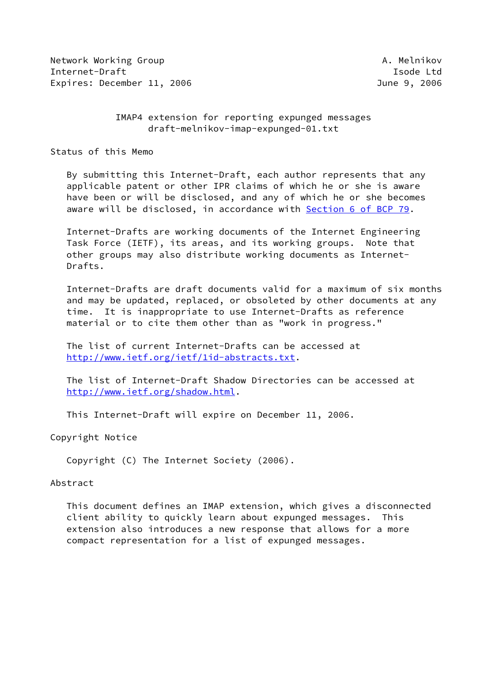Network Working Group **A. Melnikov** A. Melnikov Internet-Draft **Isolat Isom and Isom and Isolat Isolat Isolat Isolat Isolat Isolat Isolat Isolat Isolat Isolat Isolat Isolat Isolat Isolat Isolat Isolat Isolat Isolat Isolat Isolat Isolat Isolat Isolat Isolat Isolat Isolat** Expires: December 11, 2006 **Gallery 2006** June 9, 2006

 IMAP4 extension for reporting expunged messages draft-melnikov-imap-expunged-01.txt

Status of this Memo

 By submitting this Internet-Draft, each author represents that any applicable patent or other IPR claims of which he or she is aware have been or will be disclosed, and any of which he or she becomes aware will be disclosed, in accordance with Section [6 of BCP 79.](https://datatracker.ietf.org/doc/pdf/bcp79#section-6)

 Internet-Drafts are working documents of the Internet Engineering Task Force (IETF), its areas, and its working groups. Note that other groups may also distribute working documents as Internet- Drafts.

 Internet-Drafts are draft documents valid for a maximum of six months and may be updated, replaced, or obsoleted by other documents at any time. It is inappropriate to use Internet-Drafts as reference material or to cite them other than as "work in progress."

 The list of current Internet-Drafts can be accessed at <http://www.ietf.org/ietf/1id-abstracts.txt>.

 The list of Internet-Draft Shadow Directories can be accessed at <http://www.ietf.org/shadow.html>.

This Internet-Draft will expire on December 11, 2006.

Copyright Notice

Copyright (C) The Internet Society (2006).

#### Abstract

 This document defines an IMAP extension, which gives a disconnected client ability to quickly learn about expunged messages. This extension also introduces a new response that allows for a more compact representation for a list of expunged messages.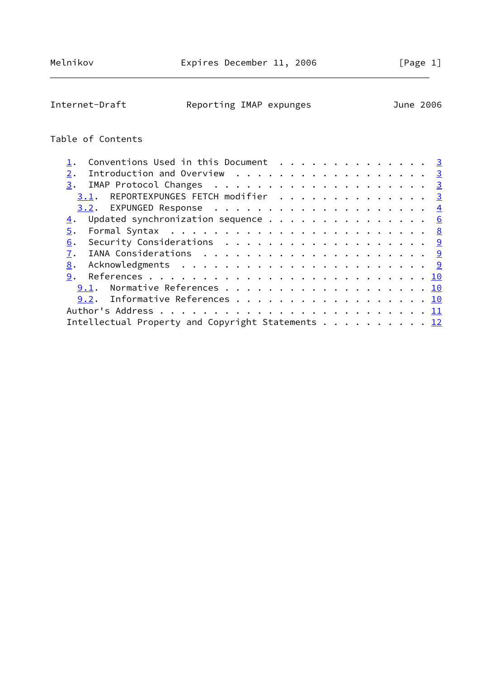Internet-Draft Reporting IMAP expunges June 2006

# Table of Contents

| Conventions Used in this Document $\cdots$ 3                                     |  |  |  |  |  |  |
|----------------------------------------------------------------------------------|--|--|--|--|--|--|
| Introduction and Overview 3<br>2.                                                |  |  |  |  |  |  |
|                                                                                  |  |  |  |  |  |  |
| 3.1. REPORTEXPUNGES FETCH modifier 3                                             |  |  |  |  |  |  |
|                                                                                  |  |  |  |  |  |  |
| $\underline{4}$ . Updated synchronization sequence 6                             |  |  |  |  |  |  |
| 5.                                                                               |  |  |  |  |  |  |
| Security Considerations $\ldots \ldots \ldots \ldots \ldots \ldots \ldots$<br>6. |  |  |  |  |  |  |
| 7.                                                                               |  |  |  |  |  |  |
| 8.                                                                               |  |  |  |  |  |  |
| 9.                                                                               |  |  |  |  |  |  |
| 9.1. Normative References 10                                                     |  |  |  |  |  |  |
| 9.2. Informative References 10                                                   |  |  |  |  |  |  |
|                                                                                  |  |  |  |  |  |  |
| Intellectual Property and Copyright Statements 12                                |  |  |  |  |  |  |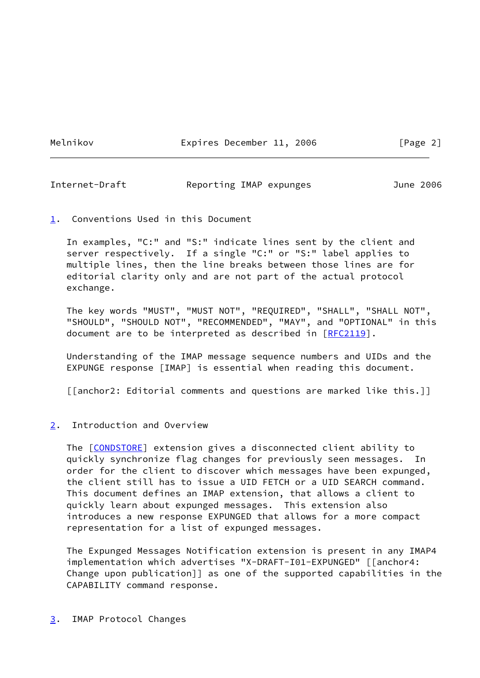Melnikov **Expires December 11, 2006** [Page 2]

<span id="page-2-1"></span>Internet-Draft Reporting IMAP expunges June 2006

<span id="page-2-0"></span>[1](#page-2-0). Conventions Used in this Document

 In examples, "C:" and "S:" indicate lines sent by the client and server respectively. If a single "C:" or "S:" label applies to multiple lines, then the line breaks between those lines are for editorial clarity only and are not part of the actual protocol exchange.

 The key words "MUST", "MUST NOT", "REQUIRED", "SHALL", "SHALL NOT", "SHOULD", "SHOULD NOT", "RECOMMENDED", "MAY", and "OPTIONAL" in this document are to be interpreted as described in [\[RFC2119](https://datatracker.ietf.org/doc/pdf/rfc2119)].

 Understanding of the IMAP message sequence numbers and UIDs and the EXPUNGE response [IMAP] is essential when reading this document.

[[anchor2: Editorial comments and questions are marked like this.]]

## <span id="page-2-2"></span>[2](#page-2-2). Introduction and Overview

The [\[CONDSTORE](#page-10-4)] extension gives a disconnected client ability to quickly synchronize flag changes for previously seen messages. In order for the client to discover which messages have been expunged, the client still has to issue a UID FETCH or a UID SEARCH command. This document defines an IMAP extension, that allows a client to quickly learn about expunged messages. This extension also introduces a new response EXPUNGED that allows for a more compact representation for a list of expunged messages.

 The Expunged Messages Notification extension is present in any IMAP4 implementation which advertises "X-DRAFT-I01-EXPUNGED" [[anchor4: Change upon publication]] as one of the supported capabilities in the CAPABILITY command response.

#### <span id="page-2-3"></span>[3](#page-2-3). IMAP Protocol Changes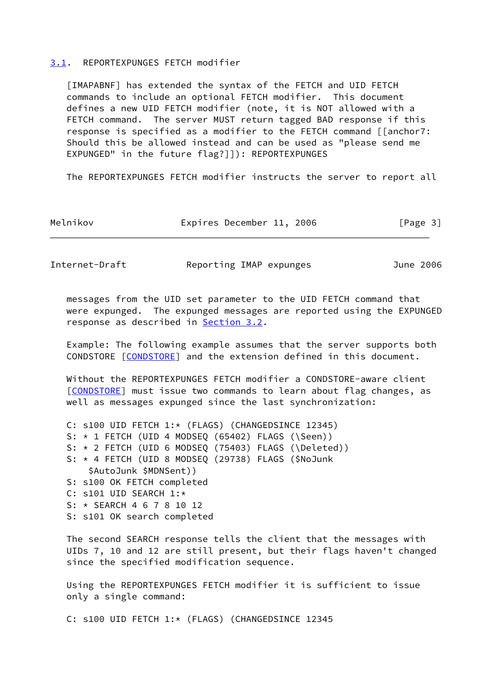#### <span id="page-3-0"></span>[3.1](#page-3-0). REPORTEXPUNGES FETCH modifier

<span id="page-3-2"></span> [IMAPABNF] has extended the syntax of the FETCH and UID FETCH commands to include an optional FETCH modifier. This document defines a new UID FETCH modifier (note, it is NOT allowed with a FETCH command. The server MUST return tagged BAD response if this response is specified as a modifier to the FETCH command [[anchor7: Should this be allowed instead and can be used as "please send me EXPUNGED" in the future flag?]]): REPORTEXPUNGES

The REPORTEXPUNGES FETCH modifier instructs the server to report all

| Melnikov | Expires December 11, 2006 |  |  | [Page 3] |  |
|----------|---------------------------|--|--|----------|--|
|----------|---------------------------|--|--|----------|--|

<span id="page-3-1"></span>Internet-Draft Reporting IMAP expunges June 2006

 messages from the UID set parameter to the UID FETCH command that were expunged. The expunged messages are reported using the EXPUNGED response as described in [Section 3.2](#page-4-0).

 Example: The following example assumes that the server supports both CONDSTORE [[CONDSTORE\]](#page-10-4) and the extension defined in this document.

 Without the REPORTEXPUNGES FETCH modifier a CONDSTORE-aware client [\[CONDSTORE](#page-10-4)] must issue two commands to learn about flag changes, as well as messages expunged since the last synchronization:

```
 C: s100 UID FETCH 1:* (FLAGS) (CHANGEDSINCE 12345)
S: \star 1 FETCH (UID 4 MODSEQ (65402) FLAGS (\Seen))
 S: * 2 FETCH (UID 6 MODSEQ (75403) FLAGS (\Deleted))
 S: * 4 FETCH (UID 8 MODSEQ (29738) FLAGS ($NoJunk
     $AutoJunk $MDNSent))
 S: s100 OK FETCH completed
 C: s101 UID SEARCH 1:*
 S: * SEARCH 4 6 7 8 10 12
 S: s101 OK search completed
```
 The second SEARCH response tells the client that the messages with UIDs 7, 10 and 12 are still present, but their flags haven't changed since the specified modification sequence.

 Using the REPORTEXPUNGES FETCH modifier it is sufficient to issue only a single command:

C: s100 UID FETCH 1:\* (FLAGS) (CHANGEDSINCE 12345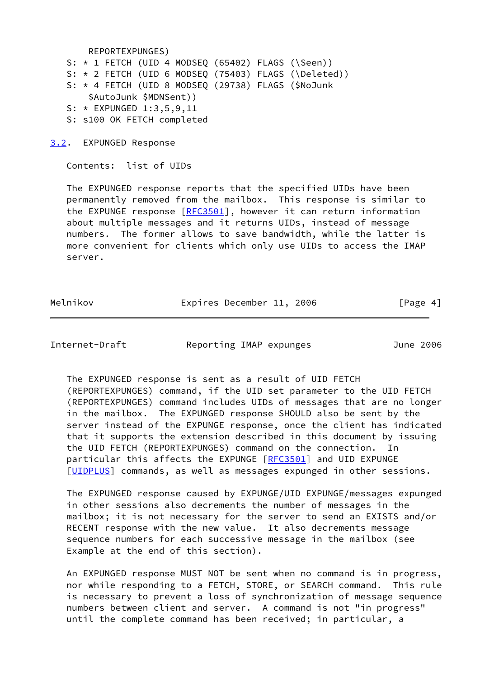REPORTEXPUNGES)

 S: \* 1 FETCH (UID 4 MODSEQ (65402) FLAGS (\Seen)) S: \* 2 FETCH (UID 6 MODSEQ (75403) FLAGS (\Deleted)) S: \* 4 FETCH (UID 8 MODSEQ (29738) FLAGS (\$NoJunk \$AutoJunk \$MDNSent)) S: \* EXPUNGED 1:3,5,9,11 S: s100 OK FETCH completed

<span id="page-4-0"></span>[3.2](#page-4-0). EXPUNGED Response

Contents: list of UIDs

 The EXPUNGED response reports that the specified UIDs have been permanently removed from the mailbox. This response is similar to the EXPUNGE response [\[RFC3501](https://datatracker.ietf.org/doc/pdf/rfc3501)], however it can return information about multiple messages and it returns UIDs, instead of message numbers. The former allows to save bandwidth, while the latter is more convenient for clients which only use UIDs to access the IMAP server.

Melnikov **Expires December 11, 2006** [Page 4]

Internet-Draft Reporting IMAP expunges June 2006

 The EXPUNGED response is sent as a result of UID FETCH (REPORTEXPUNGES) command, if the UID set parameter to the UID FETCH (REPORTEXPUNGES) command includes UIDs of messages that are no longer in the mailbox. The EXPUNGED response SHOULD also be sent by the server instead of the EXPUNGE response, once the client has indicated that it supports the extension described in this document by issuing the UID FETCH (REPORTEXPUNGES) command on the connection. In particular this affects the EXPUNGE [\[RFC3501](https://datatracker.ietf.org/doc/pdf/rfc3501)] and UID EXPUNGE [\[UIDPLUS](#page-10-5)] commands, as well as messages expunged in other sessions.

 The EXPUNGED response caused by EXPUNGE/UID EXPUNGE/messages expunged in other sessions also decrements the number of messages in the mailbox; it is not necessary for the server to send an EXISTS and/or RECENT response with the new value. It also decrements message sequence numbers for each successive message in the mailbox (see Example at the end of this section).

 An EXPUNGED response MUST NOT be sent when no command is in progress, nor while responding to a FETCH, STORE, or SEARCH command. This rule is necessary to prevent a loss of synchronization of message sequence numbers between client and server. A command is not "in progress" until the complete command has been received; in particular, a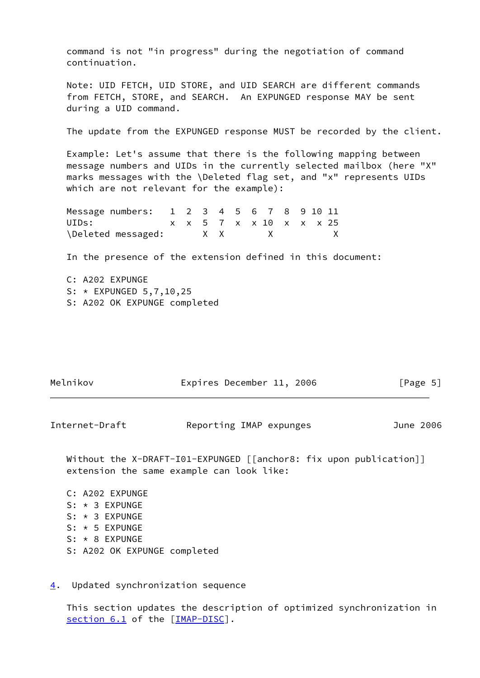command is not "in progress" during the negotiation of command continuation.

 Note: UID FETCH, UID STORE, and UID SEARCH are different commands from FETCH, STORE, and SEARCH. An EXPUNGED response MAY be sent during a UID command.

The update from the EXPUNGED response MUST be recorded by the client.

 Example: Let's assume that there is the following mapping between message numbers and UIDs in the currently selected mailbox (here "X" marks messages with the \Deleted flag set, and "x" represents UIDs which are not relevant for the example):

| Message numbers: 1 2 3 4 5 6 7 8 9 10 11 |  |    |                         |                |  |  |
|------------------------------------------|--|----|-------------------------|----------------|--|--|
| UIDs:                                    |  |    | x x 5 7 x x 10 x x x 25 |                |  |  |
| \Deleted messaged:                       |  | XX |                         | $\mathsf{X}$ x |  |  |

In the presence of the extension defined in this document:

 C: A202 EXPUNGE S: \* EXPUNGED 5,7,10,25 S: A202 OK EXPUNGE completed

| Melnikov | Expires December 11, 2006 |  | [Page 5] |  |
|----------|---------------------------|--|----------|--|
|          |                           |  |          |  |

<span id="page-5-1"></span>Internet-Draft Reporting IMAP expunges June 2006

Without the X-DRAFT-I01-EXPUNGED [[anchor8: fix upon publication]] extension the same example can look like:

- C: A202 EXPUNGE S: \* 3 EXPUNGE S: \* 3 EXPUNGE S: \* 5 EXPUNGE S: \* 8 EXPUNGE S: A202 OK EXPUNGE completed
- <span id="page-5-0"></span>[4](#page-5-0). Updated synchronization sequence

 This section updates the description of optimized synchronization in section 6.1 of the [[IMAP-DISC\]](#page-6-0).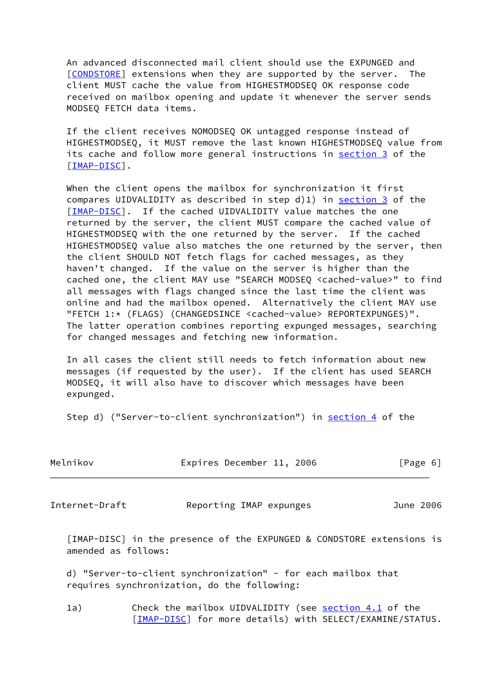An advanced disconnected mail client should use the EXPUNGED and [\[CONDSTORE](#page-10-4)] extensions when they are supported by the server. The client MUST cache the value from HIGHESTMODSEQ OK response code received on mailbox opening and update it whenever the server sends MODSEQ FETCH data items.

 If the client receives NOMODSEQ OK untagged response instead of HIGHESTMODSEQ, it MUST remove the last known HIGHESTMODSEQ value from its cache and follow more general instructions in [section 3](#page-2-3) of the [\[IMAP-DISC](#page-6-0)].

 When the client opens the mailbox for synchronization it first compares UIDVALIDITY as described in step d)1) in [section 3](#page-2-3) of the [\[IMAP-DISC](#page-6-0)]. If the cached UIDVALIDITY value matches the one returned by the server, the client MUST compare the cached value of HIGHESTMODSEQ with the one returned by the server. If the cached HIGHESTMODSEQ value also matches the one returned by the server, then the client SHOULD NOT fetch flags for cached messages, as they haven't changed. If the value on the server is higher than the cached one, the client MAY use "SEARCH MODSEQ <cached-value>" to find all messages with flags changed since the last time the client was online and had the mailbox opened. Alternatively the client MAY use "FETCH 1:\* (FLAGS) (CHANGEDSINCE <cached-value> REPORTEXPUNGES)". The latter operation combines reporting expunged messages, searching for changed messages and fetching new information.

 In all cases the client still needs to fetch information about new messages (if requested by the user). If the client has used SEARCH MODSEQ, it will also have to discover which messages have been expunged.

Step d) ("Server-to-client synchronization") in [section 4](#page-5-0) of the

| Melnikov | Expires December 11, 2006 |  | [Page 6] |  |
|----------|---------------------------|--|----------|--|
|          |                           |  |          |  |

Internet-Draft Reporting IMAP expunges June 2006

<span id="page-6-0"></span> [IMAP-DISC] in the presence of the EXPUNGED & CONDSTORE extensions is amended as follows:

 d) "Server-to-client synchronization" - for each mailbox that requires synchronization, do the following:

1a) Check the mailbox UIDVALIDITY (see section 4.1 of the [\[IMAP-DISC](#page-6-0)] for more details) with SELECT/EXAMINE/STATUS.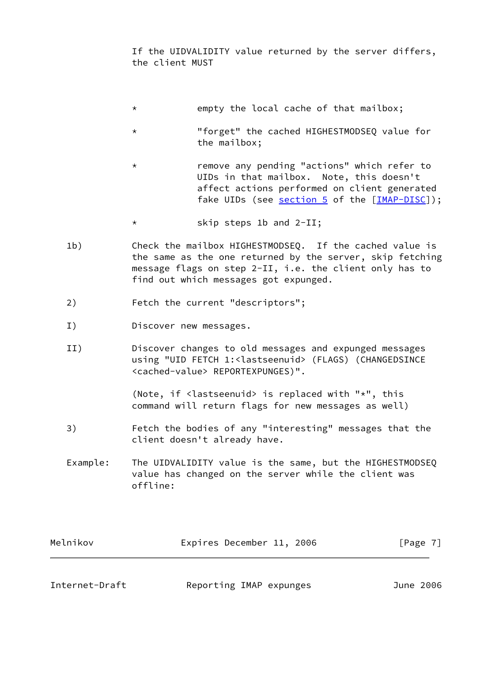If the UIDVALIDITY value returned by the server differs, the client MUST

- \* empty the local cache of that mailbox;
- \* "forget" the cached HIGHESTMODSEQ value for the mailbox;
- \* remove any pending "actions" which refer to UIDs in that mailbox. Note, this doesn't affect actions performed on client generated fake UIDs (see [section 5](#page-8-0) of the [\[IMAP-DISC](#page-6-0)]);
- \* skip steps 1b and 2-II;
- 1b) Check the mailbox HIGHESTMODSEQ. If the cached value is the same as the one returned by the server, skip fetching message flags on step 2-II, i.e. the client only has to find out which messages got expunged.
- 2) Fetch the current "descriptors";
- I) Discover new messages.
- II) Discover changes to old messages and expunged messages using "UID FETCH 1:<lastseenuid> (FLAGS) (CHANGEDSINCE <cached-value> REPORTEXPUNGES)".

 (Note, if <lastseenuid> is replaced with "\*", this command will return flags for new messages as well)

 3) Fetch the bodies of any "interesting" messages that the client doesn't already have.

 Example: The UIDVALIDITY value is the same, but the HIGHESTMODSEQ value has changed on the server while the client was offline:

| Melnikov | Expires December 11, 2006 |  | [Page 7] |
|----------|---------------------------|--|----------|
|          |                           |  |          |

<span id="page-7-0"></span>

Internet-Draft Reporting IMAP expunges June 2006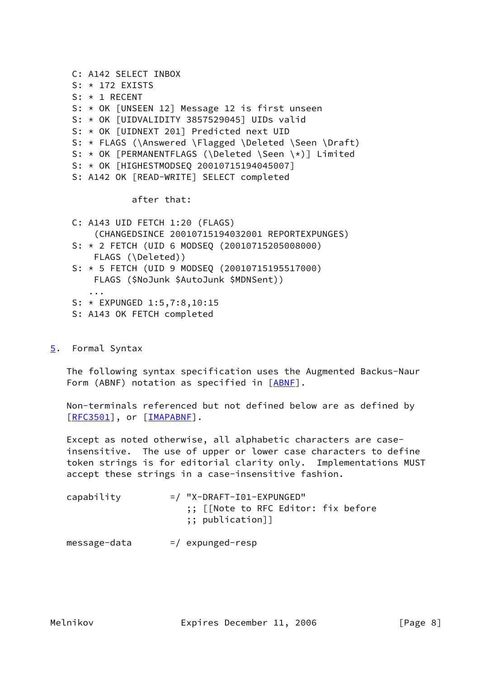```
 C: A142 SELECT INBOX
 S: * 172 EXISTS
 S: * 1 RECENT
 S: * OK [UNSEEN 12] Message 12 is first unseen
 S: * OK [UIDVALIDITY 3857529045] UIDs valid
 S: * OK [UIDNEXT 201] Predicted next UID
 S: * FLAGS (\Answered \Flagged \Deleted \Seen \Draft)
 S: * OK [PERMANENTFLAGS (\Deleted \Seen \*)] Limited
 S: * OK [HIGHESTMODSEQ 20010715194045007]
 S: A142 OK [READ-WRITE] SELECT completed
```
after that:

 C: A143 UID FETCH 1:20 (FLAGS) (CHANGEDSINCE 20010715194032001 REPORTEXPUNGES) S: \* 2 FETCH (UID 6 MODSEQ (20010715205008000) FLAGS (\Deleted)) S: \* 5 FETCH (UID 9 MODSEQ (20010715195517000) FLAGS (\$NoJunk \$AutoJunk \$MDNSent)) ... S: \* EXPUNGED 1:5,7:8,10:15

- S: A143 OK FETCH completed
- <span id="page-8-0"></span>[5](#page-8-0). Formal Syntax

 The following syntax specification uses the Augmented Backus-Naur Form (ABNF) notation as specified in [\[ABNF](#page-10-6)].

 Non-terminals referenced but not defined below are as defined by [\[RFC3501](https://datatracker.ietf.org/doc/pdf/rfc3501)], or [[IMAPABNF\]](#page-3-2).

 Except as noted otherwise, all alphabetic characters are case insensitive. The use of upper or lower case characters to define token strings is for editorial clarity only. Implementations MUST accept these strings in a case-insensitive fashion.

| capability | $=$ / "X-DRAFT-I01-EXPUNGED"                                   |
|------------|----------------------------------------------------------------|
|            | ;; [[Note to RFC Editor: fix before<br>$\; ; \;$ publication]] |

 $message-data$  =/ expunged-resp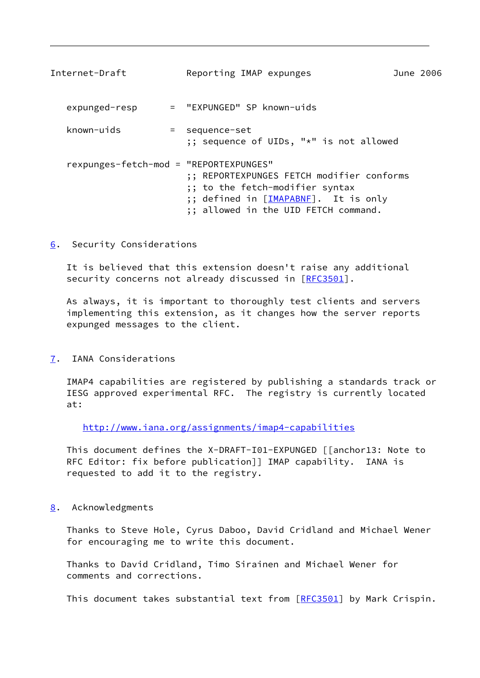<span id="page-9-1"></span>

| Internet-Draft                         | Reporting IMAP expunges                                                                                                                                      | June 2006 |  |
|----------------------------------------|--------------------------------------------------------------------------------------------------------------------------------------------------------------|-----------|--|
| expunged-resp                          | = "EXPUNGED" SP known-uids                                                                                                                                   |           |  |
| known-uids                             | = sequence-set<br>;; sequence of UIDs, "*" is not allowed                                                                                                    |           |  |
| rexpunges-fetch-mod = "REPORTEXPUNGES" | ;; REPORTEXPUNGES FETCH modifier conforms<br>;; to the fetch-modifier syntax<br>;; defined in [IMAPABNE]. It is only<br>;; allowed in the UID FETCH command. |           |  |

<span id="page-9-0"></span>[6](#page-9-0). Security Considerations

 It is believed that this extension doesn't raise any additional security concerns not already discussed in [[RFC3501\]](https://datatracker.ietf.org/doc/pdf/rfc3501).

 As always, it is important to thoroughly test clients and servers implementing this extension, as it changes how the server reports expunged messages to the client.

<span id="page-9-2"></span>[7](#page-9-2). IANA Considerations

 IMAP4 capabilities are registered by publishing a standards track or IESG approved experimental RFC. The registry is currently located at:

<http://www.iana.org/assignments/imap4-capabilities>

 This document defines the X-DRAFT-I01-EXPUNGED [[anchor13: Note to RFC Editor: fix before publication]] IMAP capability. IANA is requested to add it to the registry.

<span id="page-9-3"></span>[8](#page-9-3). Acknowledgments

 Thanks to Steve Hole, Cyrus Daboo, David Cridland and Michael Wener for encouraging me to write this document.

 Thanks to David Cridland, Timo Sirainen and Michael Wener for comments and corrections.

This document takes substantial text from [[RFC3501](https://datatracker.ietf.org/doc/pdf/rfc3501)] by Mark Crispin.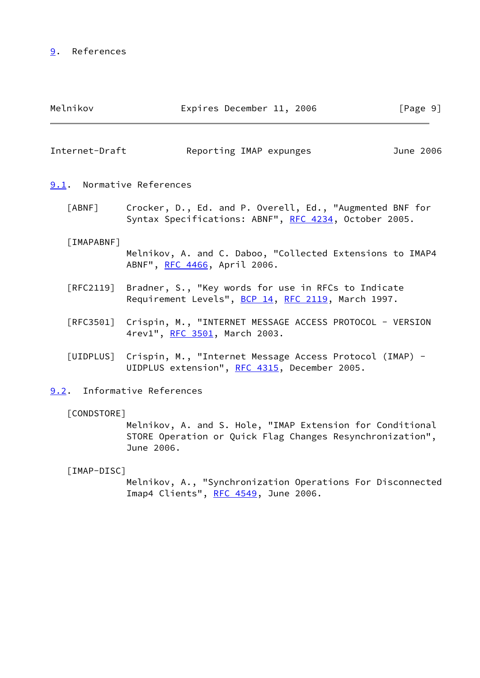# <span id="page-10-0"></span>[9](#page-10-0). References

<span id="page-10-6"></span><span id="page-10-5"></span><span id="page-10-4"></span><span id="page-10-3"></span><span id="page-10-2"></span><span id="page-10-1"></span>

| Melnikov                         | Expires December 11, 2006                                                                                                            | [Page 9]  |
|----------------------------------|--------------------------------------------------------------------------------------------------------------------------------------|-----------|
| Internet-Draft                   | Reporting IMAP expunges                                                                                                              | June 2006 |
| 9.1. Normative References        |                                                                                                                                      |           |
| $\lceil ABNF \rceil$             | Crocker, D., Ed. and P. Overell, Ed., "Augmented BNF for<br>Syntax Specifications: ABNF", RFC 4234, October 2005.                    |           |
| [IMAPABNF]                       | Melnikov, A. and C. Daboo, "Collected Extensions to IMAP4<br>ABNF", RFC 4466, April 2006.                                            |           |
| $\lceil \mathsf{RFC2119} \rceil$ | Bradner, S., "Key words for use in RFCs to Indicate<br>Requirement Levels", BCP 14, RFC 2119, March 1997.                            |           |
| $\lceil \mathsf{RFC3501} \rceil$ | Crispin, M., "INTERNET MESSAGE ACCESS PROTOCOL - VERSION<br>4rev1", RFC 3501, March 2003.                                            |           |
| [UIDPLUS]                        | Crispin, M., "Internet Message Access Protocol (IMAP) -<br>UIDPLUS extension", RFC 4315, December 2005.                              |           |
|                                  | 9.2. Informative References                                                                                                          |           |
| [CONDSTORE]                      | Melnikov, A. and S. Hole, "IMAP Extension for Conditional<br>STORE Operation or Quick Flag Changes Resynchronization",<br>June 2006. |           |
| [IMAP-DISC]                      | Melnikov, A., "Synchronization Operations For Disconnected<br>Imap4 Clients", RFC 4549, June 2006.                                   |           |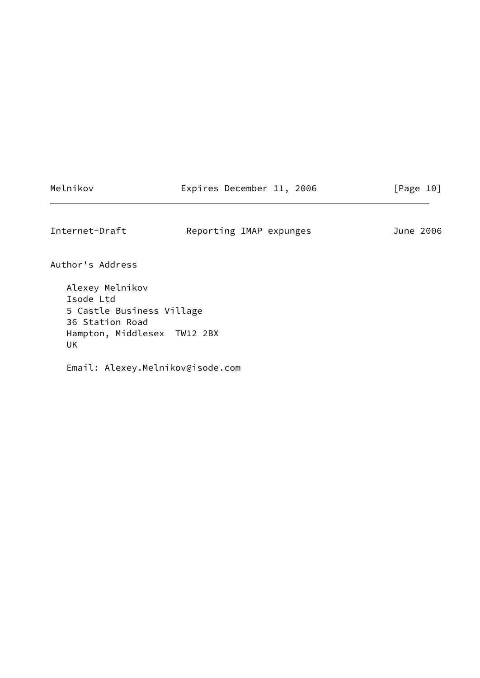|  | Melnikov |
|--|----------|
|  |          |

Expires December 11, 2006 [Page 10]

<span id="page-11-0"></span>Internet-Draft Reporting IMAP expunges June 2006

Author's Address

 Alexey Melnikov Isode Ltd 5 Castle Business Village 36 Station Road Hampton, Middlesex TW12 2BX UK

Email: Alexey.Melnikov@isode.com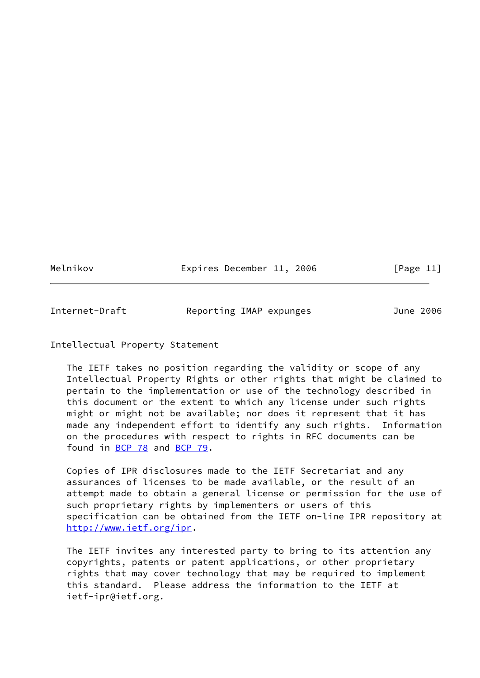Melnikov **Expires December 11, 2006** [Page 11]

<span id="page-12-0"></span>Internet-Draft Reporting IMAP expunges June 2006

### Intellectual Property Statement

 The IETF takes no position regarding the validity or scope of any Intellectual Property Rights or other rights that might be claimed to pertain to the implementation or use of the technology described in this document or the extent to which any license under such rights might or might not be available; nor does it represent that it has made any independent effort to identify any such rights. Information on the procedures with respect to rights in RFC documents can be found in [BCP 78](https://datatracker.ietf.org/doc/pdf/bcp78) and [BCP 79](https://datatracker.ietf.org/doc/pdf/bcp79).

 Copies of IPR disclosures made to the IETF Secretariat and any assurances of licenses to be made available, or the result of an attempt made to obtain a general license or permission for the use of such proprietary rights by implementers or users of this specification can be obtained from the IETF on-line IPR repository at <http://www.ietf.org/ipr>.

 The IETF invites any interested party to bring to its attention any copyrights, patents or patent applications, or other proprietary rights that may cover technology that may be required to implement this standard. Please address the information to the IETF at ietf-ipr@ietf.org.